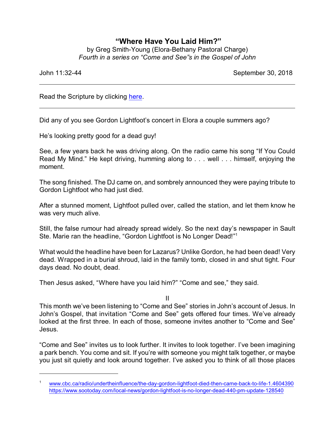## **"Where Have You Laid Him?"**

by Greg Smith-Young (Elora-Bethany Pastoral Charge) *Fourth in a series on "Come and See"s in the Gospel of John*

John 11:32-44 September 30, 2018

Read the Scripture by clicking [here](https://www.biblegateway.com/passage/?search=John+11%3A32-44&version=CEB).

Did any of you see Gordon Lightfoot's concert in Elora a couple summers ago?

He's looking pretty good for a dead guy!

See, a few years back he was driving along. On the radio came his song "If You Could Read My Mind." He kept driving, humming along to . . . well . . . himself, enjoying the moment.

The song finished. The DJ came on, and sombrely announced they were paying tribute to Gordon Lightfoot who had just died.

After a stunned moment, Lightfoot pulled over, called the station, and let them know he was very much alive.

Still, the false rumour had already spread widely. So the next day's newspaper in Sault Ste. Marie ran the headline, "Gordon Lightfoot is No Longer Dead!" 1

What would the headline have been for Lazarus? Unlike Gordon, he had been dead! Very dead. Wrapped in a burial shroud, laid in the family tomb, closed in and shut tight. Four days dead. No doubt, dead.

Then Jesus asked, "Where have you laid him?" "Come and see," they said.

II

This month we've been listening to "Come and See" stories in John's account of Jesus. In John's Gospel, that invitation "Come and See" gets offered four times. We've already looked at the first three. In each of those, someone invites another to "Come and See" Jesus.

"Come and See" invites us to look further. It invites to look together. I've been imagining a park bench. You come and sit. If you're with someone you might talk together, or maybe you just sit quietly and look around together. I've asked you to think of all those places

<sup>1</sup> [www.cbc.ca/radio/undertheinfluence/the-day-gordon-lightfoot-died-then-came-back-to-life-1.4604390](https://www.cbc.ca/radio/undertheinfluence/the-day-gordon-lightfoot-died-then-came-back-to-life-1.4604390) <https://www.sootoday.com/local-news/gordon-lightfoot-is-no-longer-dead-440-pm-update-128540>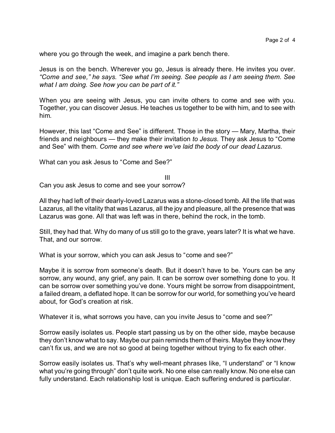where you go through the week, and imagine a park bench there.

Jesus is on the bench. Wherever you go, Jesus is already there. He invites you over. *"Come and see," he says. "See what I'm seeing. See people as I am seeing them. See what I am doing. See how you can be part of it."*

When you are seeing with Jesus, you can invite others to come and see with you. Together, you can discover Jesus. He teaches us together to be with him, and to see with him.

However, this last "Come and See" is different. Those in the story — Mary, Martha, their friends and neighbours — they make their invitation *to Jesus.* They ask Jesus to "Come and See" with them. *Come and see where we've laid the body of our dead Lazarus.*

What can you ask Jesus to "Come and See?"

III

Can you ask Jesus to come and see your sorrow?

All they had left of their dearly-loved Lazarus was a stone-closed tomb. All the life that was Lazarus, all the vitality that was Lazarus, all the joy and pleasure, all the presence that was Lazarus was gone. All that was left was in there, behind the rock, in the tomb.

Still, they had that. Why do many of us still go to the grave, years later? It is what we have. That, and our sorrow.

What is your sorrow, which you can ask Jesus to "come and see?"

Maybe it is sorrow from someone's death. But it doesn't have to be. Yours can be any sorrow, any wound, any grief, any pain. It can be sorrow over something done to you. It can be sorrow over something you've done. Yours might be sorrow from disappointment, a failed dream, a deflated hope. It can be sorrow for our world, for something you've heard about, for God's creation at risk.

Whatever it is, what sorrows you have, can you invite Jesus to "come and see?"

Sorrow easily isolates us. People start passing us by on the other side, maybe because they don't know what to say. Maybe our pain reminds them of theirs. Maybe they know they can't fix us, and we are not so good at being together without trying to fix each other.

Sorrow easily isolates us. That's why well-meant phrases like, "I understand" or "I know what you're going through" don't quite work. No one else can really know. No one else can fully understand. Each relationship lost is unique. Each suffering endured is particular.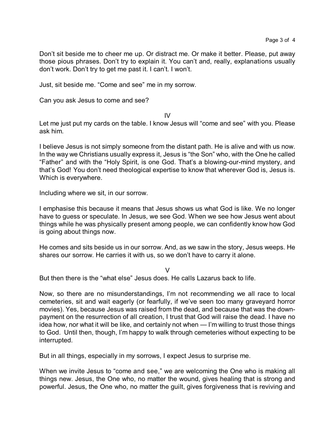Don't sit beside me to cheer me up. Or distract me. Or make it better. Please, put away those pious phrases. Don't try to explain it. You can't and, really, explanations usually don't work. Don't try to get me past it. I can't. I won't.

Just, sit beside me. "Come and see" me in my sorrow.

Can you ask Jesus to come and see?

IV

Let me just put my cards on the table. I know Jesus will "come and see" with you. Please ask him.

I believe Jesus is not simply someone from the distant path. He is alive and with us now. In the way we Christians usually express it, Jesus is "the Son" who, with the One he called "Father" and with the "Holy Spirit, is one God. That's a blowing-our-mind mystery, and that's God! You don't need theological expertise to know that wherever God is, Jesus is. Which is everywhere.

Including where we sit, in our sorrow.

I emphasise this because it means that Jesus shows us what God is like. We no longer have to guess or speculate. In Jesus, we see God. When we see how Jesus went about things while he was physically present among people, we can confidently know how God is going about things now.

He comes and sits beside us in our sorrow. And, as we saw in the story, Jesus weeps. He shares our sorrow. He carries it with us, so we don't have to carry it alone.

 $\overline{V}$ 

But then there is the "what else" Jesus does. He calls Lazarus back to life.

Now, so there are no misunderstandings, I'm not recommending we all race to local cemeteries, sit and wait eagerly (or fearfully, if we've seen too many graveyard horror movies). Yes, because Jesus was raised from the dead, and because that was the downpayment on the resurrection of all creation, I trust that God will raise the dead. I have no idea how, nor what it will be like, and certainly not when — I'm willing to trust those things to God. Until then, though, I'm happy to walk through cemeteries without expecting to be interrupted.

But in all things, especially in my sorrows, I expect Jesus to surprise me.

When we invite Jesus to "come and see," we are welcoming the One who is making all things new. Jesus, the One who, no matter the wound, gives healing that is strong and powerful. Jesus, the One who, no matter the guilt, gives forgiveness that is reviving and